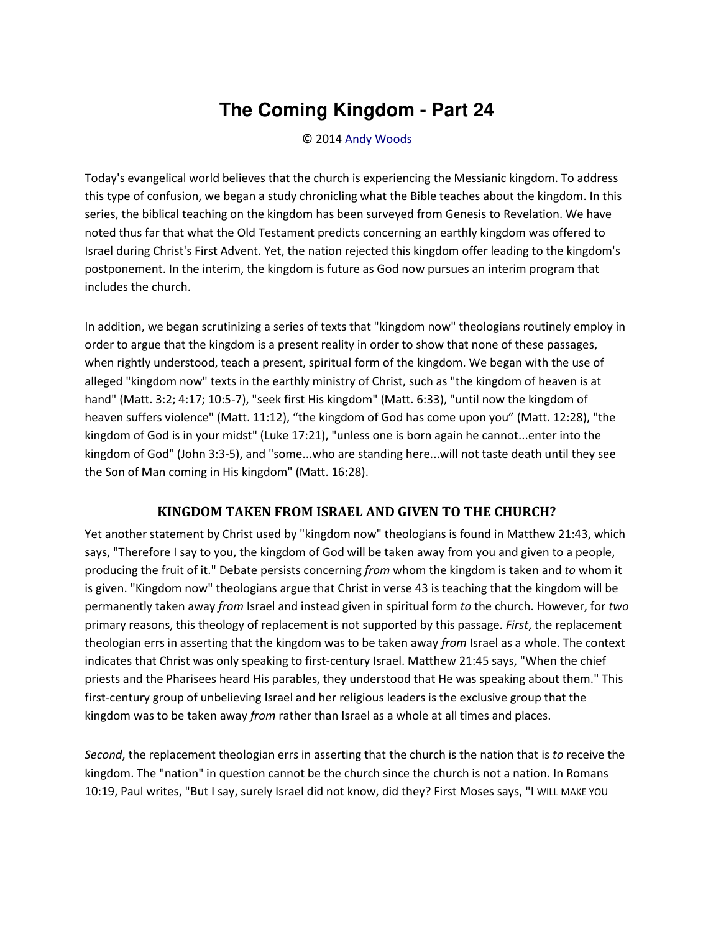## **The Coming Kingdom - Part 24**

## © 2014 [Andy Woods](http://www.spiritandtruth.org/id/aw.htm)

Today's evangelical world believes that the church is experiencing the Messianic kingdom. To address this type of confusion, we began a study chronicling what the Bible teaches about the kingdom. In this series, the biblical teaching on the kingdom has been surveyed from Genesis to Revelation. We have noted thus far that what the Old Testament predicts concerning an earthly kingdom was offered to Israel during Christ's First Advent. Yet, the nation rejected this kingdom offer leading to the kingdom's postponement. In the interim, the kingdom is future as God now pursues an interim program that includes the church.

In addition, we began scrutinizing a series of texts that "kingdom now" theologians routinely employ in order to argue that the kingdom is a present reality in order to show that none of these passages, when rightly understood, teach a present, spiritual form of the kingdom. We began with the use of alleged "kingdom now" texts in the earthly ministry of Christ, such as "the kingdom of heaven is at hand" (Matt. 3:2; 4:17; 10:5-7), "seek first His kingdom" (Matt. 6:33), "until now the kingdom of heaven suffers violence" (Matt. 11:12), "the kingdom of God has come upon you" (Matt. 12:28), "the kingdom of God is in your midst" (Luke 17:21), "unless one is born again he cannot...enter into the kingdom of God" (John 3:3-5), and "some...who are standing here...will not taste death until they see the Son of Man coming in His kingdom" (Matt. 16:28).

## **KINGDOM TAKEN FROM ISRAEL AND GIVEN TO THE CHURCH?**

Yet another statement by Christ used by "kingdom now" theologians is found in Matthew 21:43, which says, "Therefore I say to you, the kingdom of God will be taken away from you and given to a people, producing the fruit of it." Debate persists concerning *from* whom the kingdom is taken and *to* whom it is given. "Kingdom now" theologians argue that Christ in verse 43 is teaching that the kingdom will be permanently taken away *from* Israel and instead given in spiritual form *to* the church. However, for *two* primary reasons, this theology of replacement is not supported by this passage. *First*, the replacement theologian errs in asserting that the kingdom was to be taken away *from* Israel as a whole. The context indicates that Christ was only speaking to first-century Israel. Matthew 21:45 says, "When the chief priests and the Pharisees heard His parables, they understood that He was speaking about them." This first-century group of unbelieving Israel and her religious leaders is the exclusive group that the kingdom was to be taken away *from* rather than Israel as a whole at all times and places.

*Second*, the replacement theologian errs in asserting that the church is the nation that is *to* receive the kingdom. The "nation" in question cannot be the church since the church is not a nation. In Romans 10:19, Paul writes, "But I say, surely Israel did not know, did they? First Moses says, "I WILL MAKE YOU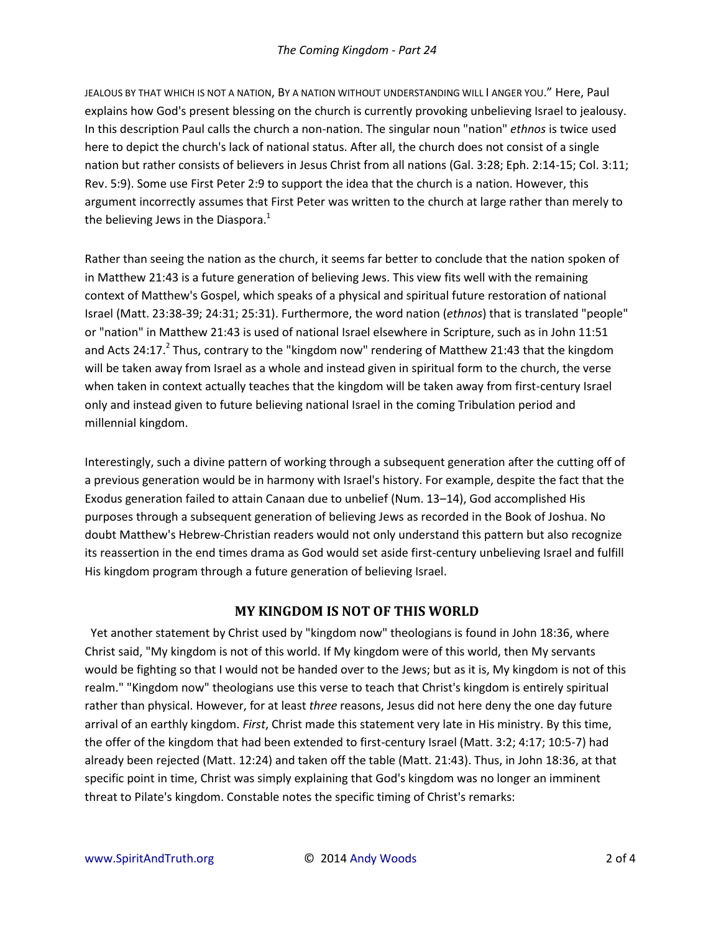JEALOUS BY THAT WHICH IS NOT A NATION, BY A NATION WITHOUT UNDERSTANDING WILL I ANGER YOU.<sup>*"*</sup> Here, Paul explains how God's present blessing on the church is currently provoking unbelieving Israel to jealousy. In this description Paul calls the church a non-nation. The singular noun "nation" *ethnos* is twice used here to depict the church's lack of national status. After all, the church does not consist of a single nation but rather consists of believers in Jesus Christ from all nations (Gal. 3:28; Eph. 2:14-15; Col. 3:11; Rev. 5:9). Some use First Peter 2:9 to support the idea that the church is a nation. However, this argument incorrectly assumes that First Peter was written to the church at large rather than merely to the believing Jews in the Diaspora.<sup>1</sup>

Rather than seeing the nation as the church, it seems far better to conclude that the nation spoken of in Matthew 21:43 is a future generation of believing Jews. This view fits well with the remaining context of Matthew's Gospel, which speaks of a physical and spiritual future restoration of national Israel (Matt. 23:38-39; 24:31; 25:31). Furthermore, the word nation (*ethnos*) that is translated "people" or "nation" in Matthew 21:43 is used of national Israel elsewhere in Scripture, such as in John 11:51 and Acts 24:17.<sup>2</sup> Thus, contrary to the "kingdom now" rendering of Matthew 21:43 that the kingdom will be taken away from Israel as a whole and instead given in spiritual form to the church, the verse when taken in context actually teaches that the kingdom will be taken away from first-century Israel only and instead given to future believing national Israel in the coming Tribulation period and millennial kingdom.

Interestingly, such a divine pattern of working through a subsequent generation after the cutting off of a previous generation would be in harmony with Israel's history. For example, despite the fact that the Exodus generation failed to attain Canaan due to unbelief (Num. 13–14), God accomplished His purposes through a subsequent generation of believing Jews as recorded in the Book of Joshua. No doubt Matthew's Hebrew-Christian readers would not only understand this pattern but also recognize its reassertion in the end times drama as God would set aside first-century unbelieving Israel and fulfill His kingdom program through a future generation of believing Israel.

## **MY KINGDOM IS NOT OF THIS WORLD**

 Yet another statement by Christ used by "kingdom now" theologians is found in John 18:36, where Christ said, "My kingdom is not of this world. If My kingdom were of this world, then My servants would be fighting so that I would not be handed over to the Jews; but as it is, My kingdom is not of this realm." "Kingdom now" theologians use this verse to teach that Christ's kingdom is entirely spiritual rather than physical. However, for at least *three* reasons, Jesus did not here deny the one day future arrival of an earthly kingdom. *First*, Christ made this statement very late in His ministry. By this time, the offer of the kingdom that had been extended to first-century Israel (Matt. 3:2; 4:17; 10:5-7) had already been rejected (Matt. 12:24) and taken off the table (Matt. 21:43). Thus, in John 18:36, at that specific point in time, Christ was simply explaining that God's kingdom was no longer an imminent threat to Pilate's kingdom. Constable notes the specific timing of Christ's remarks: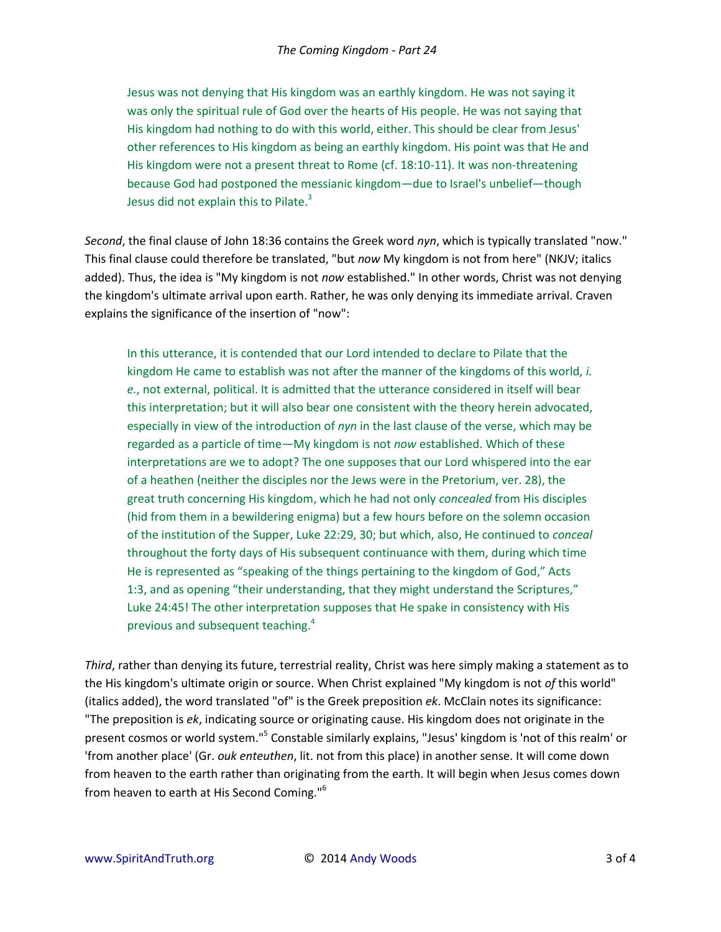Jesus was not denying that His kingdom was an earthly kingdom. He was not saying it was only the spiritual rule of God over the hearts of His people. He was not saying that His kingdom had nothing to do with this world, either. This should be clear from Jesus' other references to His kingdom as being an earthly kingdom. His point was that He and His kingdom were not a present threat to Rome (cf. 18:10-11). It was non-threatening because God had postponed the messianic kingdom—due to Israel's unbelief—though Jesus did not explain this to Pilate. $3$ 

*Second*, the final clause of John 18:36 contains the Greek word *nyn*, which is typically translated "now." This final clause could therefore be translated, "but *now* My kingdom is not from here" (NKJV; italics added). Thus, the idea is "My kingdom is not *now* established." In other words, Christ was not denying the kingdom's ultimate arrival upon earth. Rather, he was only denying its immediate arrival. Craven explains the significance of the insertion of "now":

In this utterance, it is contended that our Lord intended to declare to Pilate that the kingdom He came to establish was not after the manner of the kingdoms of this world, *i. e.*, not external, political. It is admitted that the utterance considered in itself will bear this interpretation; but it will also bear one consistent with the theory herein advocated, especially in view of the introduction of *nyn* in the last clause of the verse, which may be regarded as a particle of time—My kingdom is not *now* established. Which of these interpretations are we to adopt? The one supposes that our Lord whispered into the ear of a heathen (neither the disciples nor the Jews were in the Pretorium, ver. 28), the great truth concerning His kingdom, which he had not only *concealed* from His disciples (hid from them in a bewildering enigma) but a few hours before on the solemn occasion of the institution of the Supper, Luke 22:29, 30; but which, also, He continued to *conceal* throughout the forty days of His subsequent continuance with them, during which time He is represented as "speaking of the things pertaining to the kingdom of God," Acts 1:3, and as opening "their understanding, that they might understand the Scriptures," Luke 24:45! The other interpretation supposes that He spake in consistency with His previous and subsequent teaching.<sup>4</sup>

*Third*, rather than denying its future, terrestrial reality, Christ was here simply making a statement as to the His kingdom's ultimate origin or source. When Christ explained "My kingdom is not *of* this world" (italics added), the word translated "of" is the Greek preposition *ek*. McClain notes its significance: "The preposition is *ek*, indicating source or originating cause. His kingdom does not originate in the present cosmos or world system."<sup>5</sup> Constable similarly explains, "Jesus' kingdom is 'not of this realm' or 'from another place' (Gr. *ouk enteuthen*, lit. not from this place) in another sense. It will come down from heaven to the earth rather than originating from the earth. It will begin when Jesus comes down from heaven to earth at His Second Coming."<sup>6</sup>